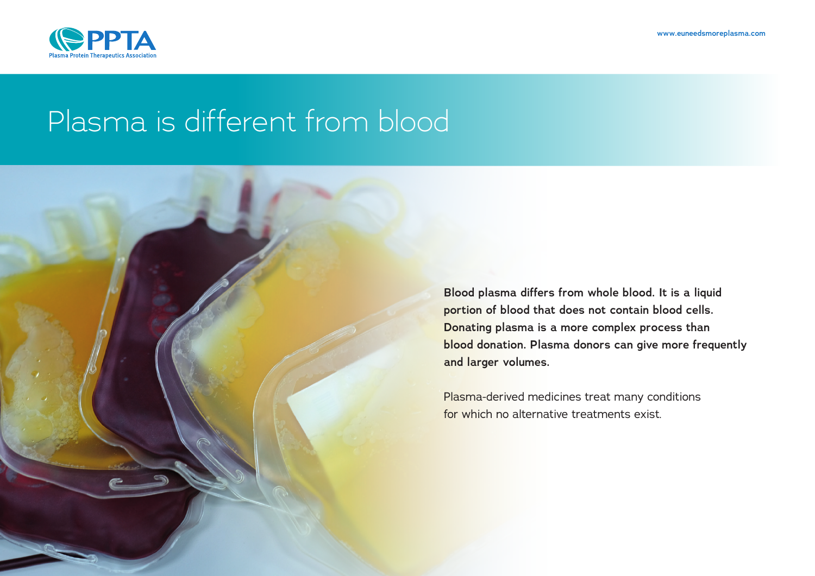

# Plasma is different from blood

**Blood plasma differs from whole blood. It is a liquid portion of blood that does not contain blood cells. Donating plasma is a more complex process than blood donation. Plasma donors can give more frequently and larger volumes.**

Plasma-derived medicines treat many conditions for which no alternative treatments exist.